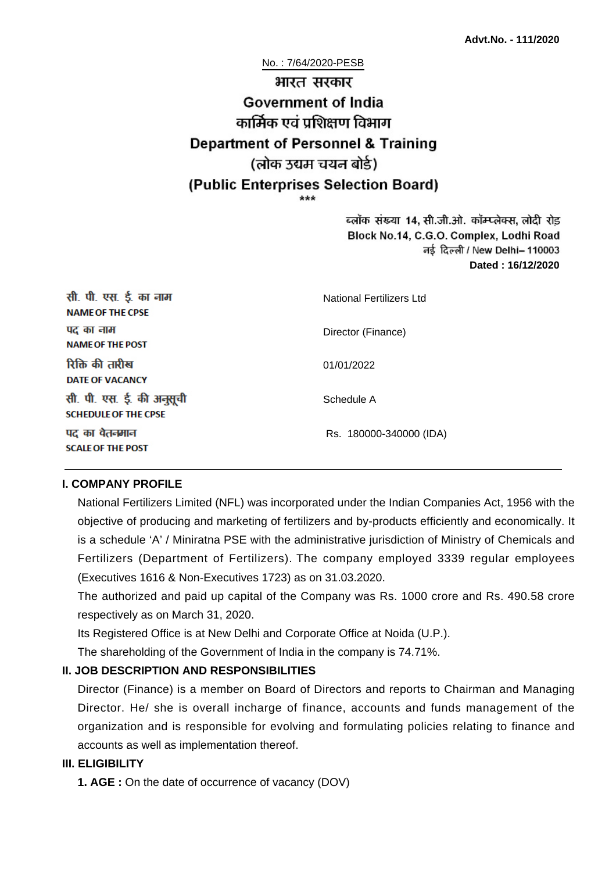No. : 7/64/2020-PESB

# भारत सरकार Government of India कार्मिक एवं पशिक्षण विभाग **Department of Personnel & Training** (लोक उद्यम चयन बोर्ड) (Public Enterprises Selection Board)

ब्लॉक संख्या 14, सी.जी.ओ. कॉम्प्लेक्स, लोदी रोड Block No.14, C.G.O. Complex, Lodhi Road ਰई दिल्ली / New Delhi– 110003 **Dated : 16/12/2020**

| सी. पी. एस. ई. का नाम<br><b>NAME OF THE CPSE</b>         | National Fertilizers Ltd |
|----------------------------------------------------------|--------------------------|
| पद का नाम<br><b>NAME OF THE POST</b>                     | Director (Finance)       |
| रिक्ति की तारीख<br><b>DATE OF VACANCY</b>                | 01/01/2022               |
| सी. पी. एस. ई. की अनुसूची<br><b>SCHEDULE OF THE CPSE</b> | Schedule A               |
| पद का वेतनमान<br><b>SCALE OF THE POST</b>                | Rs. 180000-340000 (IDA)  |

#### **I. COMPANY PROFILE**

National Fertilizers Limited (NFL) was incorporated under the Indian Companies Act, 1956 with the objective of producing and marketing of fertilizers and by-products efficiently and economically. It is a schedule 'A' / Miniratna PSE with the administrative jurisdiction of Ministry of Chemicals and Fertilizers (Department of Fertilizers). The company employed 3339 regular employees (Executives 1616 & Non-Executives 1723) as on 31.03.2020.

The authorized and paid up capital of the Company was Rs. 1000 crore and Rs. 490.58 crore respectively as on March 31, 2020.

Its Registered Office is at New Delhi and Corporate Office at Noida (U.P.).

The shareholding of the Government of India in the company is 74.71%.

## **II. JOB DESCRIPTION AND RESPONSIBILITIES**

Director (Finance) is a member on Board of Directors and reports to Chairman and Managing Director. He/ she is overall incharge of finance, accounts and funds management of the organization and is responsible for evolving and formulating policies relating to finance and accounts as well as implementation thereof.

## **III. ELIGIBILITY**

**1. AGE :** On the date of occurrence of vacancy (DOV)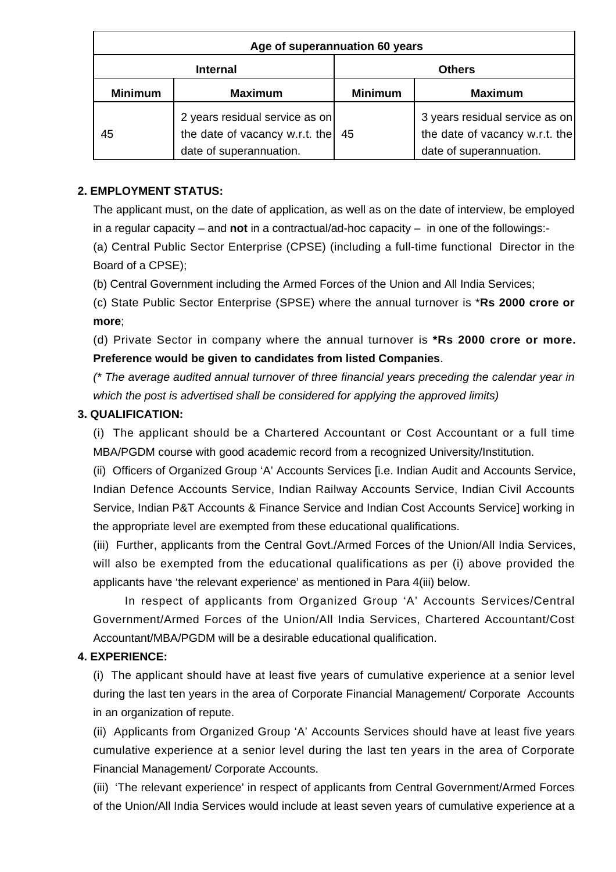| Age of superannuation 60 years |                                                                                             |                |                                                                                             |
|--------------------------------|---------------------------------------------------------------------------------------------|----------------|---------------------------------------------------------------------------------------------|
| <b>Internal</b>                |                                                                                             | <b>Others</b>  |                                                                                             |
| <b>Minimum</b>                 | <b>Maximum</b>                                                                              | <b>Minimum</b> | <b>Maximum</b>                                                                              |
| 45                             | 2 years residual service as on<br>the date of vacancy w.r.t. the<br>date of superannuation. | 45             | 3 years residual service as on<br>the date of vacancy w.r.t. the<br>date of superannuation. |

## **2. EMPLOYMENT STATUS:**

The applicant must, on the date of application, as well as on the date of interview, be employed in a regular capacity – and **not** in a contractual/ad-hoc capacity – in one of the followings:-

(a) Central Public Sector Enterprise (CPSE) (including a full-time functional Director in the Board of a CPSE);

(b) Central Government including the Armed Forces of the Union and All India Services;

(c) State Public Sector Enterprise (SPSE) where the annual turnover is \***Rs 2000 crore or more**;

(d) Private Sector in company where the annual turnover is **\*Rs 2000 crore or more. Preference would be given to candidates from listed Companies**.

(\* The average audited annual turnover of three financial years preceding the calendar year in which the post is advertised shall be considered for applying the approved limits)

## **3. QUALIFICATION:**

(i) The applicant should be a Chartered Accountant or Cost Accountant or a full time MBA/PGDM course with good academic record from a recognized University/Institution.

(ii) Officers of Organized Group 'A' Accounts Services [i.e. Indian Audit and Accounts Service, Indian Defence Accounts Service, Indian Railway Accounts Service, Indian Civil Accounts Service, Indian P&T Accounts & Finance Service and Indian Cost Accounts Service] working in the appropriate level are exempted from these educational qualifications.

(iii) Further, applicants from the Central Govt./Armed Forces of the Union/All India Services, will also be exempted from the educational qualifications as per (i) above provided the applicants have 'the relevant experience' as mentioned in Para 4(iii) below.

 In respect of applicants from Organized Group 'A' Accounts Services/Central Government/Armed Forces of the Union/All India Services, Chartered Accountant/Cost Accountant/MBA/PGDM will be a desirable educational qualification.

## **4. EXPERIENCE:**

(i) The applicant should have at least five years of cumulative experience at a senior level during the last ten years in the area of Corporate Financial Management/ Corporate Accounts in an organization of repute.

(ii) Applicants from Organized Group 'A' Accounts Services should have at least five years cumulative experience at a senior level during the last ten years in the area of Corporate Financial Management/ Corporate Accounts.

(iii) 'The relevant experience' in respect of applicants from Central Government/Armed Forces of the Union/All India Services would include at least seven years of cumulative experience at a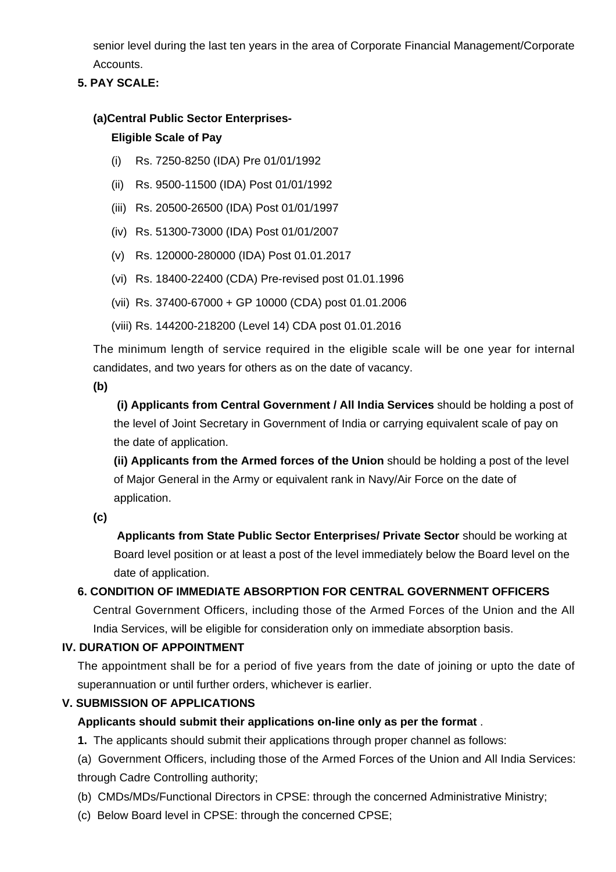senior level during the last ten years in the area of Corporate Financial Management/Corporate Accounts.

## **5. PAY SCALE:**

## **(a)Central Public Sector Enterprises-**

## **Eligible Scale of Pay**

- (i) Rs. 7250-8250 (IDA) Pre 01/01/1992
- (ii) Rs. 9500-11500 (IDA) Post 01/01/1992
- (iii) Rs. 20500-26500 (IDA) Post 01/01/1997
- (iv) Rs. 51300-73000 (IDA) Post 01/01/2007
- (v) Rs. 120000-280000 (IDA) Post 01.01.2017
- (vi) Rs. 18400-22400 (CDA) Pre-revised post 01.01.1996
- (vii) Rs. 37400-67000 + GP 10000 (CDA) post 01.01.2006
- (viii) Rs. 144200-218200 (Level 14) CDA post 01.01.2016

The minimum length of service required in the eligible scale will be one year for internal candidates, and two years for others as on the date of vacancy.

**(b)**

**(i) Applicants from Central Government / All India Services** should be holding a post of the level of Joint Secretary in Government of India or carrying equivalent scale of pay on the date of application.

**(ii) Applicants from the Armed forces of the Union** should be holding a post of the level of Major General in the Army or equivalent rank in Navy/Air Force on the date of application.

**(c)**

 **Applicants from State Public Sector Enterprises/ Private Sector** should be working at Board level position or at least a post of the level immediately below the Board level on the date of application.

## **6. CONDITION OF IMMEDIATE ABSORPTION FOR CENTRAL GOVERNMENT OFFICERS**

Central Government Officers, including those of the Armed Forces of the Union and the All India Services, will be eligible for consideration only on immediate absorption basis.

## **IV. DURATION OF APPOINTMENT**

The appointment shall be for a period of five years from the date of joining or upto the date of superannuation or until further orders, whichever is earlier.

## **V. SUBMISSION OF APPLICATIONS**

## **Applicants should submit their applications on-line only as per the format** .

**1.** The applicants should submit their applications through proper channel as follows:

(a) Government Officers, including those of the Armed Forces of the Union and All India Services: through Cadre Controlling authority;

(b) CMDs/MDs/Functional Directors in CPSE: through the concerned Administrative Ministry;

(c) Below Board level in CPSE: through the concerned CPSE;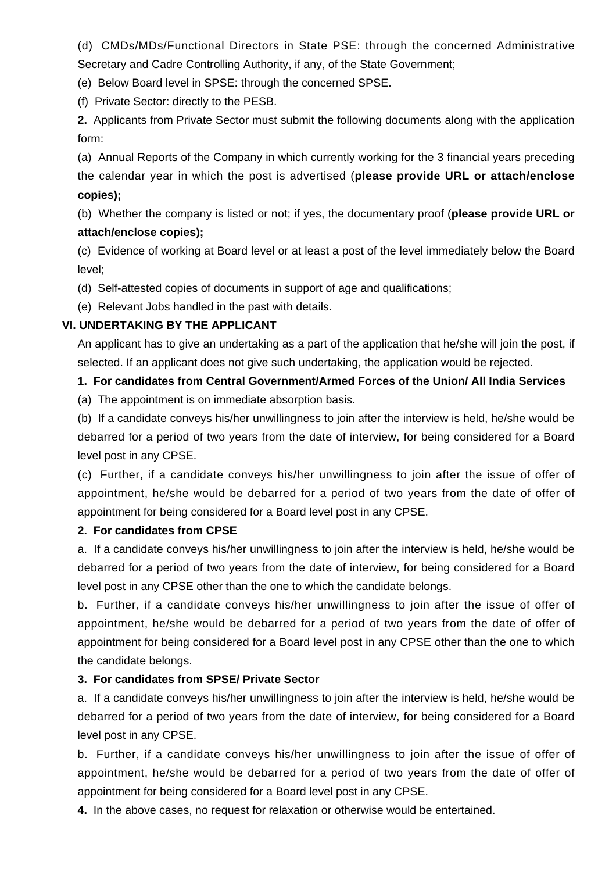(d) CMDs/MDs/Functional Directors in State PSE: through the concerned Administrative Secretary and Cadre Controlling Authority, if any, of the State Government;

(e) Below Board level in SPSE: through the concerned SPSE.

(f) Private Sector: directly to the PESB.

**2.** Applicants from Private Sector must submit the following documents along with the application form:

(a) Annual Reports of the Company in which currently working for the 3 financial years preceding the calendar year in which the post is advertised (**please provide URL or attach/enclose copies);**

(b) Whether the company is listed or not; if yes, the documentary proof (**please provide URL or attach/enclose copies);**

(c) Evidence of working at Board level or at least a post of the level immediately below the Board level;

(d) Self-attested copies of documents in support of age and qualifications;

(e) Relevant Jobs handled in the past with details.

## **VI. UNDERTAKING BY THE APPLICANT**

An applicant has to give an undertaking as a part of the application that he/she will join the post, if selected. If an applicant does not give such undertaking, the application would be rejected.

## **1. For candidates from Central Government/Armed Forces of the Union/ All India Services**

(a) The appointment is on immediate absorption basis.

(b) If a candidate conveys his/her unwillingness to join after the interview is held, he/she would be debarred for a period of two years from the date of interview, for being considered for a Board level post in any CPSE.

(c) Further, if a candidate conveys his/her unwillingness to join after the issue of offer of appointment, he/she would be debarred for a period of two years from the date of offer of appointment for being considered for a Board level post in any CPSE.

## **2. For candidates from CPSE**

a. If a candidate conveys his/her unwillingness to join after the interview is held, he/she would be debarred for a period of two years from the date of interview, for being considered for a Board level post in any CPSE other than the one to which the candidate belongs.

b. Further, if a candidate conveys his/her unwillingness to join after the issue of offer of appointment, he/she would be debarred for a period of two years from the date of offer of appointment for being considered for a Board level post in any CPSE other than the one to which the candidate belongs.

## **3. For candidates from SPSE/ Private Sector**

a. If a candidate conveys his/her unwillingness to join after the interview is held, he/she would be debarred for a period of two years from the date of interview, for being considered for a Board level post in any CPSE.

b. Further, if a candidate conveys his/her unwillingness to join after the issue of offer of appointment, he/she would be debarred for a period of two years from the date of offer of appointment for being considered for a Board level post in any CPSE.

**4.** In the above cases, no request for relaxation or otherwise would be entertained.